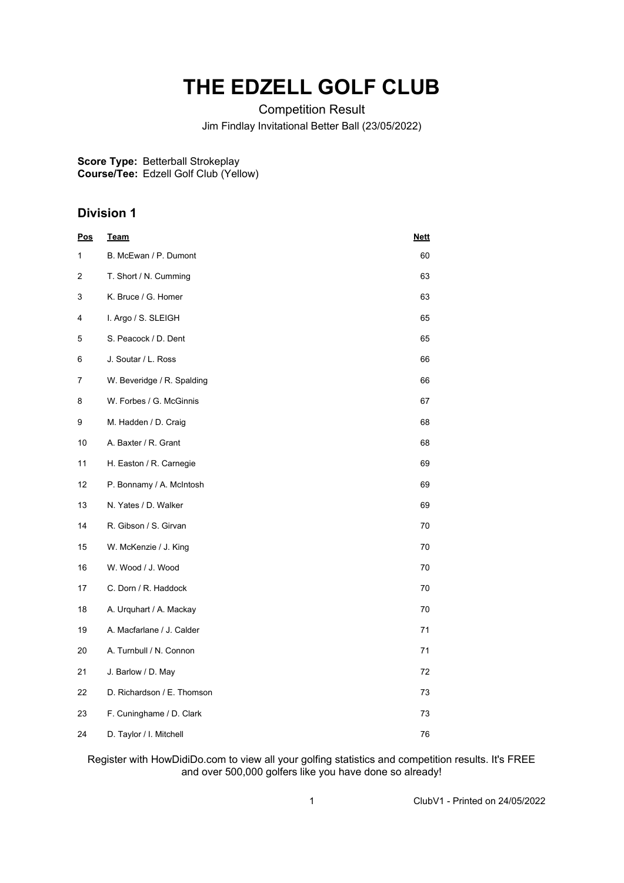## **THE EDZELL GOLF CLUB**

Competition Result Jim Findlay Invitational Better Ball (23/05/2022)

**Score Type: Course/Tee:** Betterball Strokeplay Edzell Golf Club (Yellow)

## **Division 1**

| <u>Pos</u> | <u>Team</u>                | <b>Nett</b> |
|------------|----------------------------|-------------|
| 1          | B. McEwan / P. Dumont      | 60          |
| 2          | T. Short / N. Cumming      | 63          |
| 3          | K. Bruce / G. Homer        | 63          |
| 4          | I. Argo / S. SLEIGH        | 65          |
| 5          | S. Peacock / D. Dent       | 65          |
| 6          | J. Soutar / L. Ross        | 66          |
| 7          | W. Beveridge / R. Spalding | 66          |
| 8          | W. Forbes / G. McGinnis    | 67          |
| 9          | M. Hadden / D. Craig       | 68          |
| 10         | A. Baxter / R. Grant       | 68          |
| 11         | H. Easton / R. Carnegie    | 69          |
| 12         | P. Bonnamy / A. McIntosh   | 69          |
| 13         | N. Yates / D. Walker       | 69          |
| 14         | R. Gibson / S. Girvan      | 70          |
| 15         | W. McKenzie / J. King      | 70          |
| 16         | W. Wood / J. Wood          | 70          |
| 17         | C. Dorn / R. Haddock       | 70          |
| 18         | A. Urquhart / A. Mackay    | 70          |
| 19         | A. Macfarlane / J. Calder  | 71          |
| 20         | A. Turnbull / N. Connon    | 71          |
| 21         | J. Barlow / D. May         | 72          |
| 22         | D. Richardson / E. Thomson | 73          |
| 23         | F. Cuninghame / D. Clark   | 73          |
| 24         | D. Taylor / I. Mitchell    | 76          |

Register with HowDidiDo.com to view all your golfing statistics and competition results. It's FREE and over 500,000 golfers like you have done so already!